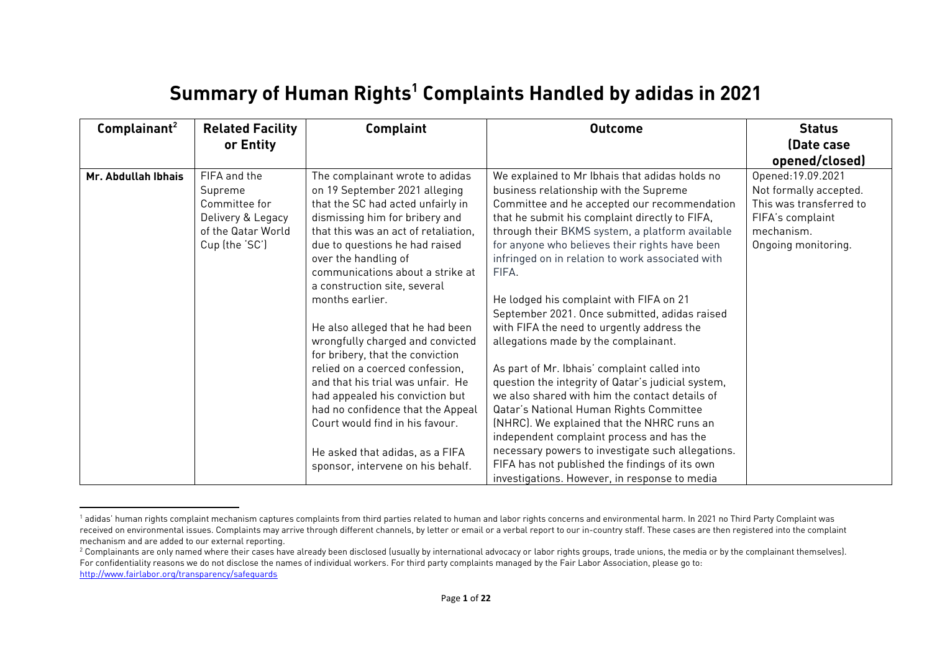## **Summary of Human Rights<sup>1</sup> Complaints Handled by adidas in 2021**

| Complainant <sup>2</sup> | <b>Related Facility</b>                                                                               | Complaint                                                                                                                                                                                                                                                                                                                                                                                                                                                                                                                                                                                                                                                          | <b>Outcome</b>                                                                                                                                                                                                                                                                                                                                                                                                                                                                                                                                                                                                                                                                                                                                                                                                                                                                                    | <b>Status</b>                                                                                                                    |
|--------------------------|-------------------------------------------------------------------------------------------------------|--------------------------------------------------------------------------------------------------------------------------------------------------------------------------------------------------------------------------------------------------------------------------------------------------------------------------------------------------------------------------------------------------------------------------------------------------------------------------------------------------------------------------------------------------------------------------------------------------------------------------------------------------------------------|---------------------------------------------------------------------------------------------------------------------------------------------------------------------------------------------------------------------------------------------------------------------------------------------------------------------------------------------------------------------------------------------------------------------------------------------------------------------------------------------------------------------------------------------------------------------------------------------------------------------------------------------------------------------------------------------------------------------------------------------------------------------------------------------------------------------------------------------------------------------------------------------------|----------------------------------------------------------------------------------------------------------------------------------|
|                          | or Entity                                                                                             |                                                                                                                                                                                                                                                                                                                                                                                                                                                                                                                                                                                                                                                                    |                                                                                                                                                                                                                                                                                                                                                                                                                                                                                                                                                                                                                                                                                                                                                                                                                                                                                                   | (Date case)                                                                                                                      |
|                          |                                                                                                       |                                                                                                                                                                                                                                                                                                                                                                                                                                                                                                                                                                                                                                                                    |                                                                                                                                                                                                                                                                                                                                                                                                                                                                                                                                                                                                                                                                                                                                                                                                                                                                                                   | opened/closed)                                                                                                                   |
| Mr. Abdullah Ibhais      | FIFA and the<br>Supreme<br>Committee for<br>Delivery & Legacy<br>of the Qatar World<br>Cup (the 'SC') | The complainant wrote to adidas<br>on 19 September 2021 alleging<br>that the SC had acted unfairly in<br>dismissing him for bribery and<br>that this was an act of retaliation.<br>due to questions he had raised<br>over the handling of<br>communications about a strike at<br>a construction site, several<br>months earlier.<br>He also alleged that he had been<br>wrongfully charged and convicted<br>for bribery, that the conviction<br>relied on a coerced confession,<br>and that his trial was unfair. He<br>had appealed his conviction but<br>had no confidence that the Appeal<br>Court would find in his favour.<br>He asked that adidas, as a FIFA | We explained to Mr Ibhais that adidas holds no<br>business relationship with the Supreme<br>Committee and he accepted our recommendation<br>that he submit his complaint directly to FIFA,<br>through their BKMS system, a platform available<br>for anyone who believes their rights have been<br>infringed on in relation to work associated with<br>FIFA.<br>He lodged his complaint with FIFA on 21<br>September 2021. Once submitted, adidas raised<br>with FIFA the need to urgently address the<br>allegations made by the complainant.<br>As part of Mr. Ibhais' complaint called into<br>question the integrity of Qatar's judicial system,<br>we also shared with him the contact details of<br>Qatar's National Human Rights Committee<br>(NHRC). We explained that the NHRC runs an<br>independent complaint process and has the<br>necessary powers to investigate such allegations. | Opened: 19.09.2021<br>Not formally accepted.<br>This was transferred to<br>FIFA's complaint<br>mechanism.<br>Ongoing monitoring. |
|                          |                                                                                                       | sponsor, intervene on his behalf.                                                                                                                                                                                                                                                                                                                                                                                                                                                                                                                                                                                                                                  | FIFA has not published the findings of its own<br>investigations. However, in response to media                                                                                                                                                                                                                                                                                                                                                                                                                                                                                                                                                                                                                                                                                                                                                                                                   |                                                                                                                                  |

<sup>&</sup>lt;sup>1</sup> adidas' human rights complaint mechanism captures complaints from third parties related to human and labor rights concerns and environmental harm. In 2021 no Third Party Complaint was received on environmental issues. Complaints may arrive through different channels, by letter or email or a verbal report to our in-country staff. These cases are then registered into the complaint mechanism and are added to our external reporting.

<sup>&</sup>lt;sup>2</sup> Complainants are only named where their cases have already been disclosed (usually by international advocacy or labor rights groups, trade unions, the media or by the complainant themselves). For confidentiality reasons we do not disclose the names of individual workers. For third party complaints managed by the Fair Labor Association, please go to: <http://www.fairlabor.org/transparency/safeguards>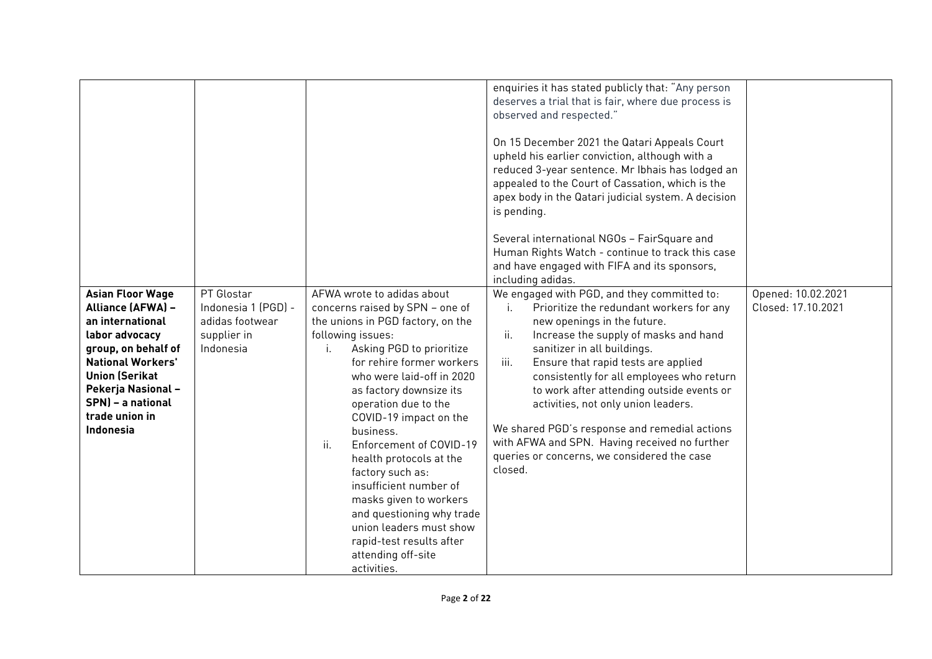| and questioning why trade<br>union leaders must show<br>rapid-test results after |
|----------------------------------------------------------------------------------|
|----------------------------------------------------------------------------------|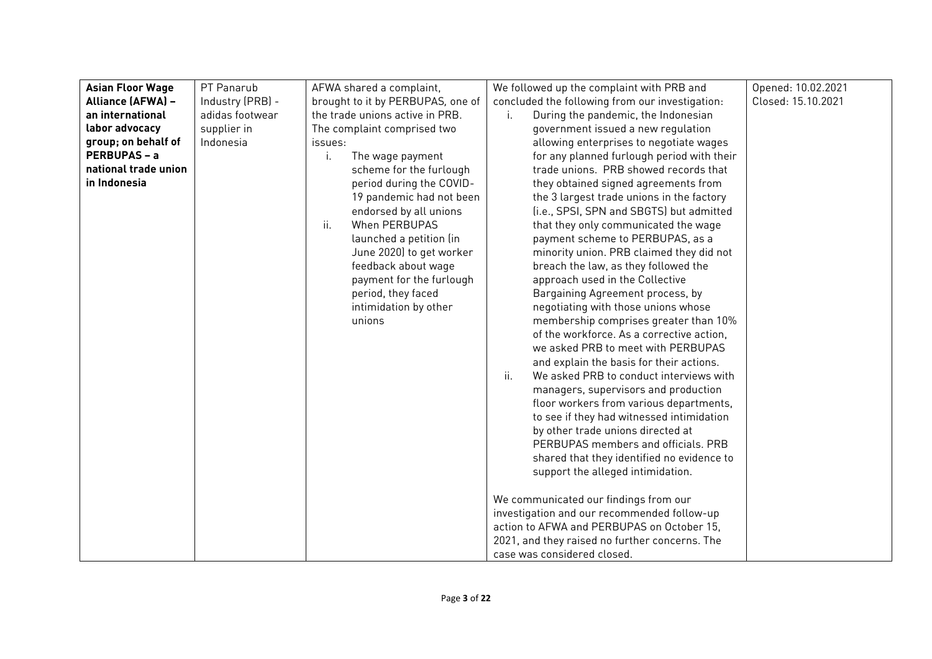| <b>Asian Floor Wage</b> | PT Panarub       | AFWA shared a complaint,               | We followed up the complaint with PRB and                                            | Opened: 10.02.2021 |
|-------------------------|------------------|----------------------------------------|--------------------------------------------------------------------------------------|--------------------|
| Alliance (AFWA) -       | Industry (PRB) - | brought to it by PERBUPAS, one of      | concluded the following from our investigation:                                      | Closed: 15.10.2021 |
| an international        | adidas footwear  | the trade unions active in PRB.        | During the pandemic, the Indonesian<br>i.                                            |                    |
| labor advocacy          | supplier in      | The complaint comprised two            | government issued a new regulation                                                   |                    |
| group; on behalf of     | Indonesia        | issues:                                | allowing enterprises to negotiate wages                                              |                    |
| <b>PERBUPAS - a</b>     |                  | The wage payment<br>$\mathbf{L}$       | for any planned furlough period with their                                           |                    |
| national trade union    |                  | scheme for the furlough                | trade unions. PRB showed records that                                                |                    |
| in Indonesia            |                  | period during the COVID-               | they obtained signed agreements from                                                 |                    |
|                         |                  | 19 pandemic had not been               | the 3 largest trade unions in the factory                                            |                    |
|                         |                  | endorsed by all unions                 | (i.e., SPSI, SPN and SBGTS) but admitted                                             |                    |
|                         |                  | $\ddot{\mathbf{H}}$ .<br>When PERBUPAS | that they only communicated the wage                                                 |                    |
|                         |                  | launched a petition (in                | payment scheme to PERBUPAS, as a                                                     |                    |
|                         |                  | June 2020) to get worker               | minority union. PRB claimed they did not                                             |                    |
|                         |                  | feedback about wage                    | breach the law, as they followed the                                                 |                    |
|                         |                  | payment for the furlough               | approach used in the Collective                                                      |                    |
|                         |                  | period, they faced                     | Bargaining Agreement process, by                                                     |                    |
|                         |                  | intimidation by other                  | negotiating with those unions whose                                                  |                    |
|                         |                  | unions                                 | membership comprises greater than 10%                                                |                    |
|                         |                  |                                        | of the workforce. As a corrective action,                                            |                    |
|                         |                  |                                        | we asked PRB to meet with PERBUPAS                                                   |                    |
|                         |                  |                                        | and explain the basis for their actions.<br>$\ddot{\mathbf{u}}$ .                    |                    |
|                         |                  |                                        | We asked PRB to conduct interviews with                                              |                    |
|                         |                  |                                        | managers, supervisors and production                                                 |                    |
|                         |                  |                                        | floor workers from various departments,<br>to see if they had witnessed intimidation |                    |
|                         |                  |                                        | by other trade unions directed at                                                    |                    |
|                         |                  |                                        | PERBUPAS members and officials. PRB                                                  |                    |
|                         |                  |                                        | shared that they identified no evidence to                                           |                    |
|                         |                  |                                        | support the alleged intimidation.                                                    |                    |
|                         |                  |                                        |                                                                                      |                    |
|                         |                  |                                        | We communicated our findings from our                                                |                    |
|                         |                  |                                        | investigation and our recommended follow-up                                          |                    |
|                         |                  |                                        | action to AFWA and PERBUPAS on October 15,                                           |                    |
|                         |                  |                                        | 2021, and they raised no further concerns. The                                       |                    |
|                         |                  |                                        | case was considered closed.                                                          |                    |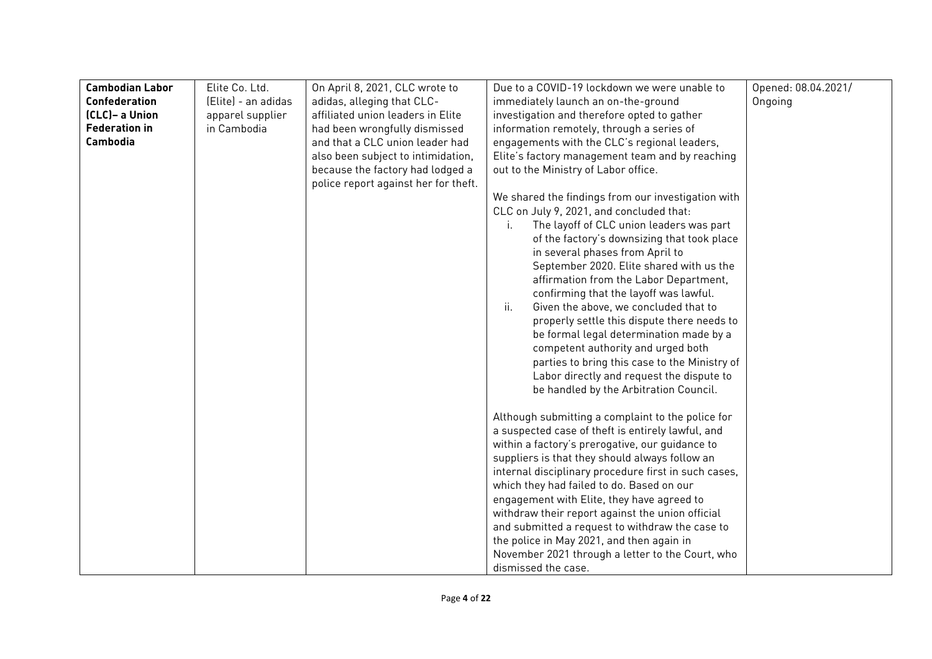| <b>Cambodian Labor</b> | Elite Co. Ltd.      | On April 8, 2021, CLC wrote to       | Due to a COVID-19 lockdown we were unable to                                                      | Opened: 08.04.2021/ |
|------------------------|---------------------|--------------------------------------|---------------------------------------------------------------------------------------------------|---------------------|
| <b>Confederation</b>   | (Elite) - an adidas | adidas, alleging that CLC-           | immediately launch an on-the-ground                                                               | Ongoing             |
| (CLC)- a Union         | apparel supplier    | affiliated union leaders in Elite    | investigation and therefore opted to gather                                                       |                     |
| <b>Federation in</b>   | in Cambodia         | had been wrongfully dismissed        | information remotely, through a series of                                                         |                     |
| Cambodia               |                     | and that a CLC union leader had      | engagements with the CLC's regional leaders,                                                      |                     |
|                        |                     | also been subject to intimidation,   | Elite's factory management team and by reaching                                                   |                     |
|                        |                     | because the factory had lodged a     | out to the Ministry of Labor office.                                                              |                     |
|                        |                     | police report against her for theft. |                                                                                                   |                     |
|                        |                     |                                      | We shared the findings from our investigation with                                                |                     |
|                        |                     |                                      | CLC on July 9, 2021, and concluded that:                                                          |                     |
|                        |                     |                                      | The layoff of CLC union leaders was part<br>$\mathbf{L}$                                          |                     |
|                        |                     |                                      | of the factory's downsizing that took place                                                       |                     |
|                        |                     |                                      | in several phases from April to                                                                   |                     |
|                        |                     |                                      | September 2020. Elite shared with us the                                                          |                     |
|                        |                     |                                      | affirmation from the Labor Department,                                                            |                     |
|                        |                     |                                      | confirming that the layoff was lawful.                                                            |                     |
|                        |                     |                                      | ii.<br>Given the above, we concluded that to                                                      |                     |
|                        |                     |                                      | properly settle this dispute there needs to                                                       |                     |
|                        |                     |                                      | be formal legal determination made by a                                                           |                     |
|                        |                     |                                      | competent authority and urged both                                                                |                     |
|                        |                     |                                      | parties to bring this case to the Ministry of                                                     |                     |
|                        |                     |                                      | Labor directly and request the dispute to                                                         |                     |
|                        |                     |                                      | be handled by the Arbitration Council.                                                            |                     |
|                        |                     |                                      |                                                                                                   |                     |
|                        |                     |                                      | Although submitting a complaint to the police for                                                 |                     |
|                        |                     |                                      | a suspected case of theft is entirely lawful, and                                                 |                     |
|                        |                     |                                      | within a factory's prerogative, our guidance to<br>suppliers is that they should always follow an |                     |
|                        |                     |                                      | internal disciplinary procedure first in such cases,                                              |                     |
|                        |                     |                                      | which they had failed to do. Based on our                                                         |                     |
|                        |                     |                                      | engagement with Elite, they have agreed to                                                        |                     |
|                        |                     |                                      | withdraw their report against the union official                                                  |                     |
|                        |                     |                                      | and submitted a request to withdraw the case to                                                   |                     |
|                        |                     |                                      | the police in May 2021, and then again in                                                         |                     |
|                        |                     |                                      | November 2021 through a letter to the Court, who                                                  |                     |
|                        |                     |                                      | dismissed the case.                                                                               |                     |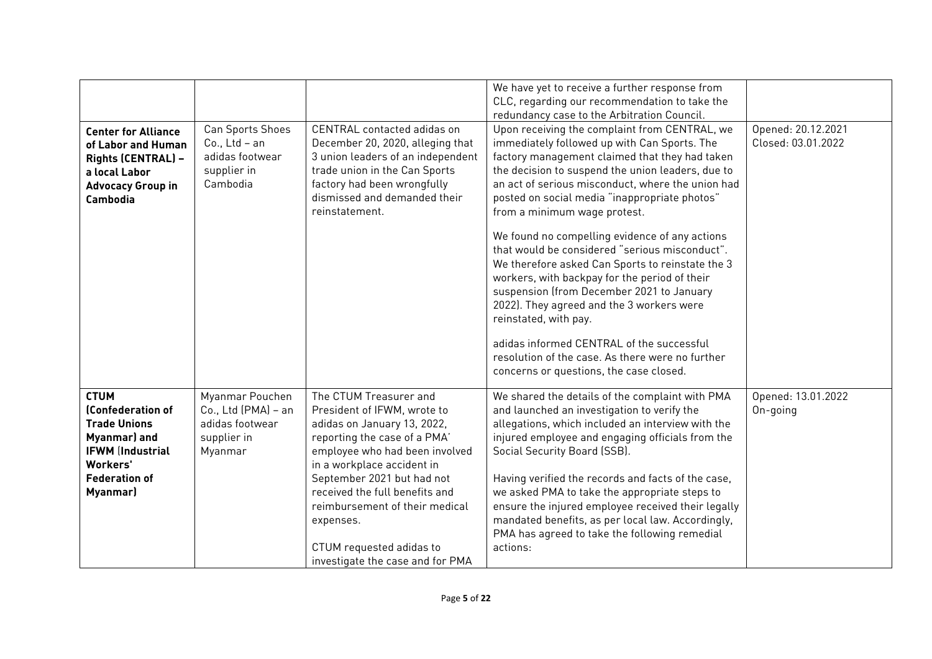| <b>Center for Alliance</b><br>of Labor and Human<br>Rights (CENTRAL) -<br>a local Labor<br><b>Advocacy Group in</b><br><b>Cambodia</b>             | Can Sports Shoes<br>$Co., Ltd - an$<br>adidas footwear<br>supplier in<br>Cambodia   | CENTRAL contacted adidas on<br>December 20, 2020, alleging that<br>3 union leaders of an independent<br>trade union in the Can Sports<br>factory had been wrongfully<br>dismissed and demanded their<br>reinstatement.                                                                                                                                              | We have yet to receive a further response from<br>CLC, regarding our recommendation to take the<br>redundancy case to the Arbitration Council.<br>Upon receiving the complaint from CENTRAL, we<br>immediately followed up with Can Sports. The<br>factory management claimed that they had taken<br>the decision to suspend the union leaders, due to<br>an act of serious misconduct, where the union had<br>posted on social media "inappropriate photos"<br>from a minimum wage protest.<br>We found no compelling evidence of any actions<br>that would be considered "serious misconduct".<br>We therefore asked Can Sports to reinstate the 3<br>workers, with backpay for the period of their<br>suspension (from December 2021 to January<br>2022). They agreed and the 3 workers were<br>reinstated, with pay.<br>adidas informed CENTRAL of the successful<br>resolution of the case. As there were no further<br>concerns or questions, the case closed. | Opened: 20.12.2021<br>Closed: 03.01.2022 |
|----------------------------------------------------------------------------------------------------------------------------------------------------|-------------------------------------------------------------------------------------|---------------------------------------------------------------------------------------------------------------------------------------------------------------------------------------------------------------------------------------------------------------------------------------------------------------------------------------------------------------------|----------------------------------------------------------------------------------------------------------------------------------------------------------------------------------------------------------------------------------------------------------------------------------------------------------------------------------------------------------------------------------------------------------------------------------------------------------------------------------------------------------------------------------------------------------------------------------------------------------------------------------------------------------------------------------------------------------------------------------------------------------------------------------------------------------------------------------------------------------------------------------------------------------------------------------------------------------------------|------------------------------------------|
| <b>CTUM</b><br>(Confederation of<br><b>Trade Unions</b><br>Myanmar) and<br><b>IFWM (Industrial</b><br>Workers'<br><b>Federation of</b><br>Myanmar) | Myanmar Pouchen<br>Co., Ltd (PMA) - an<br>adidas footwear<br>supplier in<br>Myanmar | The CTUM Treasurer and<br>President of IFWM, wrote to<br>adidas on January 13, 2022,<br>reporting the case of a PMA'<br>employee who had been involved<br>in a workplace accident in<br>September 2021 but had not<br>received the full benefits and<br>reimbursement of their medical<br>expenses.<br>CTUM requested adidas to<br>investigate the case and for PMA | We shared the details of the complaint with PMA<br>and launched an investigation to verify the<br>allegations, which included an interview with the<br>injured employee and engaging officials from the<br>Social Security Board (SSB).<br>Having verified the records and facts of the case,<br>we asked PMA to take the appropriate steps to<br>ensure the injured employee received their legally<br>mandated benefits, as per local law. Accordingly,<br>PMA has agreed to take the following remedial<br>actions:                                                                                                                                                                                                                                                                                                                                                                                                                                               | Opened: 13.01.2022<br>On-going           |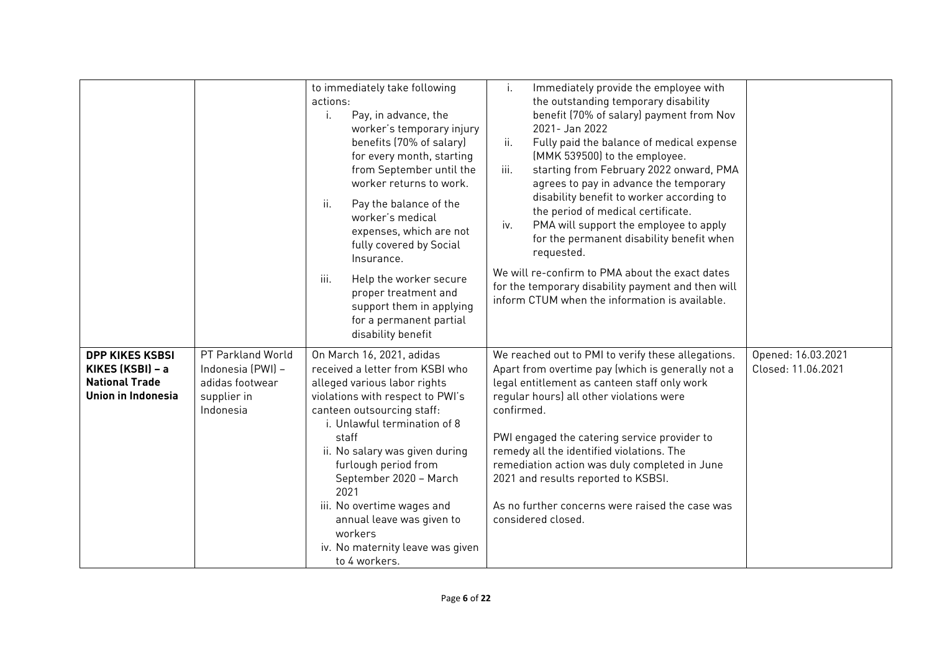|                                                                                           |                                                                                       | to immediately take following<br>actions:<br>Pay, in advance, the<br>i.<br>worker's temporary injury<br>benefits (70% of salary)<br>for every month, starting<br>from September until the<br>worker returns to work.<br>ii.<br>Pay the balance of the<br>worker's medical<br>expenses, which are not<br>fully covered by Social<br>Insurance.<br>iii.<br>Help the worker secure<br>proper treatment and<br>support them in applying<br>for a permanent partial<br>disability benefit | Immediately provide the employee with<br>i.<br>the outstanding temporary disability<br>benefit (70% of salary) payment from Nov<br>2021- Jan 2022<br>Fully paid the balance of medical expense<br>ii.<br>(MMK 539500) to the employee.<br>iii.<br>starting from February 2022 onward, PMA<br>agrees to pay in advance the temporary<br>disability benefit to worker according to<br>the period of medical certificate.<br>PMA will support the employee to apply<br>iv.<br>for the permanent disability benefit when<br>requested.<br>We will re-confirm to PMA about the exact dates<br>for the temporary disability payment and then will<br>inform CTUM when the information is available. |                                          |
|-------------------------------------------------------------------------------------------|---------------------------------------------------------------------------------------|--------------------------------------------------------------------------------------------------------------------------------------------------------------------------------------------------------------------------------------------------------------------------------------------------------------------------------------------------------------------------------------------------------------------------------------------------------------------------------------|-----------------------------------------------------------------------------------------------------------------------------------------------------------------------------------------------------------------------------------------------------------------------------------------------------------------------------------------------------------------------------------------------------------------------------------------------------------------------------------------------------------------------------------------------------------------------------------------------------------------------------------------------------------------------------------------------|------------------------------------------|
| <b>DPP KIKES KSBSI</b><br>KIKES (KSBI) - a<br><b>National Trade</b><br>Union in Indonesia | PT Parkland World<br>Indonesia (PWI) -<br>adidas footwear<br>supplier in<br>Indonesia | On March 16, 2021, adidas<br>received a letter from KSBI who<br>alleged various labor rights<br>violations with respect to PWI's<br>canteen outsourcing staff:<br>i. Unlawful termination of 8<br>staff<br>ii. No salary was given during<br>furlough period from<br>September 2020 - March<br>2021<br>iii. No overtime wages and<br>annual leave was given to<br>workers<br>iv. No maternity leave was given<br>to 4 workers.                                                       | We reached out to PMI to verify these allegations.<br>Apart from overtime pay (which is generally not a<br>legal entitlement as canteen staff only work<br>regular hours) all other violations were<br>confirmed.<br>PWI engaged the catering service provider to<br>remedy all the identified violations. The<br>remediation action was duly completed in June<br>2021 and results reported to KSBSI.<br>As no further concerns were raised the case was<br>considered closed.                                                                                                                                                                                                               | Opened: 16.03.2021<br>Closed: 11.06.2021 |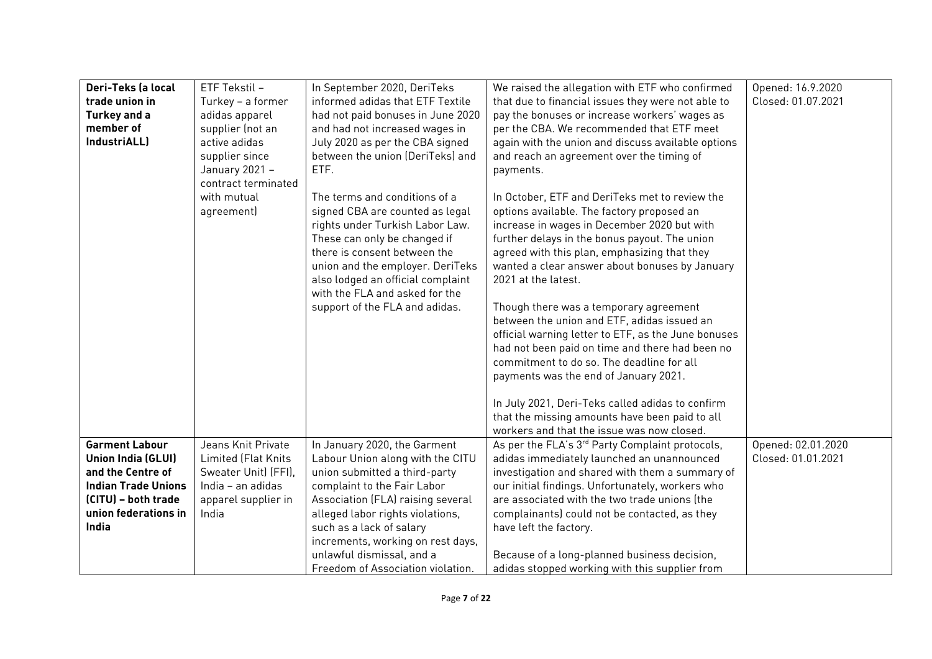| Deri-Teks (a local         | ETF Tekstil -        | In September 2020, DeriTeks       | We raised the allegation with ETF who confirmed             | Opened: 16.9.2020  |
|----------------------------|----------------------|-----------------------------------|-------------------------------------------------------------|--------------------|
| trade union in             | Turkey - a former    | informed adidas that ETF Textile  | that due to financial issues they were not able to          | Closed: 01.07.2021 |
| Turkey and a               | adidas apparel       | had not paid bonuses in June 2020 | pay the bonuses or increase workers' wages as               |                    |
| member of                  | supplier (not an     | and had not increased wages in    | per the CBA. We recommended that ETF meet                   |                    |
| IndustriALL)               | active adidas        | July 2020 as per the CBA signed   | again with the union and discuss available options          |                    |
|                            | supplier since       | between the union (DeriTeks) and  | and reach an agreement over the timing of                   |                    |
|                            | January 2021 -       | ETF.                              | payments.                                                   |                    |
|                            | contract terminated  |                                   |                                                             |                    |
|                            | with mutual          | The terms and conditions of a     | In October, ETF and DeriTeks met to review the              |                    |
|                            | agreement)           | signed CBA are counted as legal   | options available. The factory proposed an                  |                    |
|                            |                      | rights under Turkish Labor Law.   | increase in wages in December 2020 but with                 |                    |
|                            |                      | These can only be changed if      | further delays in the bonus payout. The union               |                    |
|                            |                      | there is consent between the      | agreed with this plan, emphasizing that they                |                    |
|                            |                      | union and the employer. DeriTeks  | wanted a clear answer about bonuses by January              |                    |
|                            |                      | also lodged an official complaint | 2021 at the latest.                                         |                    |
|                            |                      | with the FLA and asked for the    |                                                             |                    |
|                            |                      | support of the FLA and adidas.    | Though there was a temporary agreement                      |                    |
|                            |                      |                                   | between the union and ETF, adidas issued an                 |                    |
|                            |                      |                                   | official warning letter to ETF, as the June bonuses         |                    |
|                            |                      |                                   | had not been paid on time and there had been no             |                    |
|                            |                      |                                   | commitment to do so. The deadline for all                   |                    |
|                            |                      |                                   | payments was the end of January 2021.                       |                    |
|                            |                      |                                   | In July 2021, Deri-Teks called adidas to confirm            |                    |
|                            |                      |                                   | that the missing amounts have been paid to all              |                    |
|                            |                      |                                   | workers and that the issue was now closed.                  |                    |
| <b>Garment Labour</b>      | Jeans Knit Private   | In January 2020, the Garment      | As per the FLA's 3 <sup>rd</sup> Party Complaint protocols, | Opened: 02.01.2020 |
| <b>Union India (GLUI)</b>  | Limited (Flat Knits  | Labour Union along with the CITU  | adidas immediately launched an unannounced                  | Closed: 01.01.2021 |
| and the Centre of          | Sweater Unit) (FFI), | union submitted a third-party     | investigation and shared with them a summary of             |                    |
| <b>Indian Trade Unions</b> | India - an adidas    | complaint to the Fair Labor       | our initial findings. Unfortunately, workers who            |                    |
| (CITU) - both trade        | apparel supplier in  | Association (FLA) raising several | are associated with the two trade unions (the               |                    |
| union federations in       | India                | alleged labor rights violations,  | complainants) could not be contacted, as they               |                    |
| India                      |                      | such as a lack of salary          | have left the factory.                                      |                    |
|                            |                      | increments, working on rest days, |                                                             |                    |
|                            |                      | unlawful dismissal, and a         | Because of a long-planned business decision,                |                    |
|                            |                      | Freedom of Association violation. | adidas stopped working with this supplier from              |                    |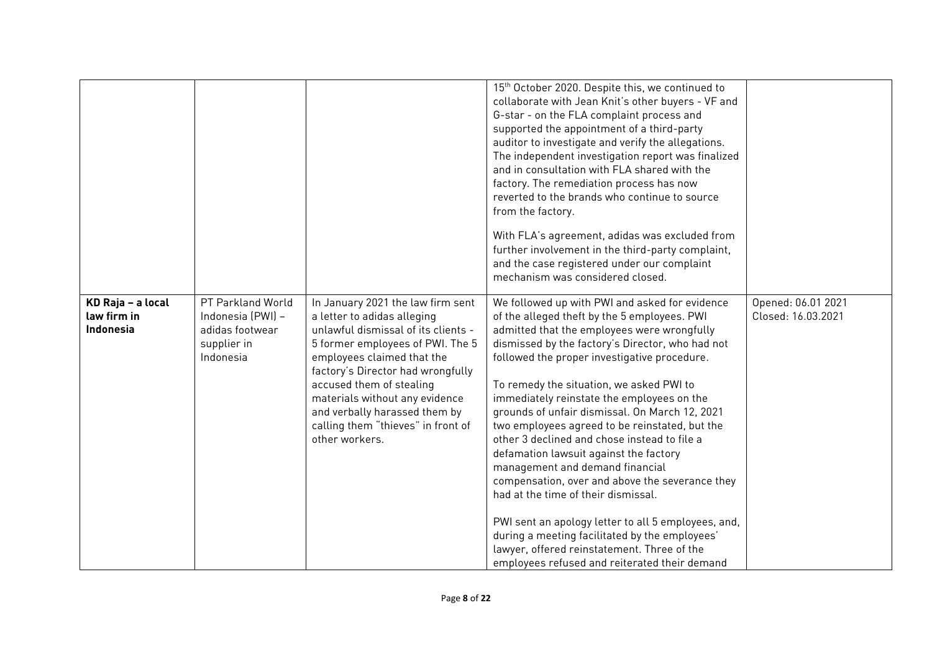|                                                      |                                                                                       |                                                                                                                                                                                                                                                                                                                                                                       | 15 <sup>th</sup> October 2020. Despite this, we continued to<br>collaborate with Jean Knit's other buyers - VF and<br>G-star - on the FLA complaint process and<br>supported the appointment of a third-party<br>auditor to investigate and verify the allegations.<br>The independent investigation report was finalized<br>and in consultation with FLA shared with the<br>factory. The remediation process has now<br>reverted to the brands who continue to source<br>from the factory.<br>With FLA's agreement, adidas was excluded from<br>further involvement in the third-party complaint,<br>and the case registered under our complaint<br>mechanism was considered closed.                                                                                                                                                                                           |                                          |
|------------------------------------------------------|---------------------------------------------------------------------------------------|-----------------------------------------------------------------------------------------------------------------------------------------------------------------------------------------------------------------------------------------------------------------------------------------------------------------------------------------------------------------------|---------------------------------------------------------------------------------------------------------------------------------------------------------------------------------------------------------------------------------------------------------------------------------------------------------------------------------------------------------------------------------------------------------------------------------------------------------------------------------------------------------------------------------------------------------------------------------------------------------------------------------------------------------------------------------------------------------------------------------------------------------------------------------------------------------------------------------------------------------------------------------|------------------------------------------|
| KD Raja - a local<br>law firm in<br><b>Indonesia</b> | PT Parkland World<br>Indonesia (PWI) -<br>adidas footwear<br>supplier in<br>Indonesia | In January 2021 the law firm sent<br>a letter to adidas alleging<br>unlawful dismissal of its clients -<br>5 former employees of PWI. The 5<br>employees claimed that the<br>factory's Director had wrongfully<br>accused them of stealing<br>materials without any evidence<br>and verbally harassed them by<br>calling them "thieves" in front of<br>other workers. | We followed up with PWI and asked for evidence<br>of the alleged theft by the 5 employees. PWI<br>admitted that the employees were wrongfully<br>dismissed by the factory's Director, who had not<br>followed the proper investigative procedure.<br>To remedy the situation, we asked PWI to<br>immediately reinstate the employees on the<br>grounds of unfair dismissal. On March 12, 2021<br>two employees agreed to be reinstated, but the<br>other 3 declined and chose instead to file a<br>defamation lawsuit against the factory<br>management and demand financial<br>compensation, over and above the severance they<br>had at the time of their dismissal.<br>PWI sent an apology letter to all 5 employees, and,<br>during a meeting facilitated by the employees'<br>lawyer, offered reinstatement. Three of the<br>employees refused and reiterated their demand | Opened: 06.01 2021<br>Closed: 16.03.2021 |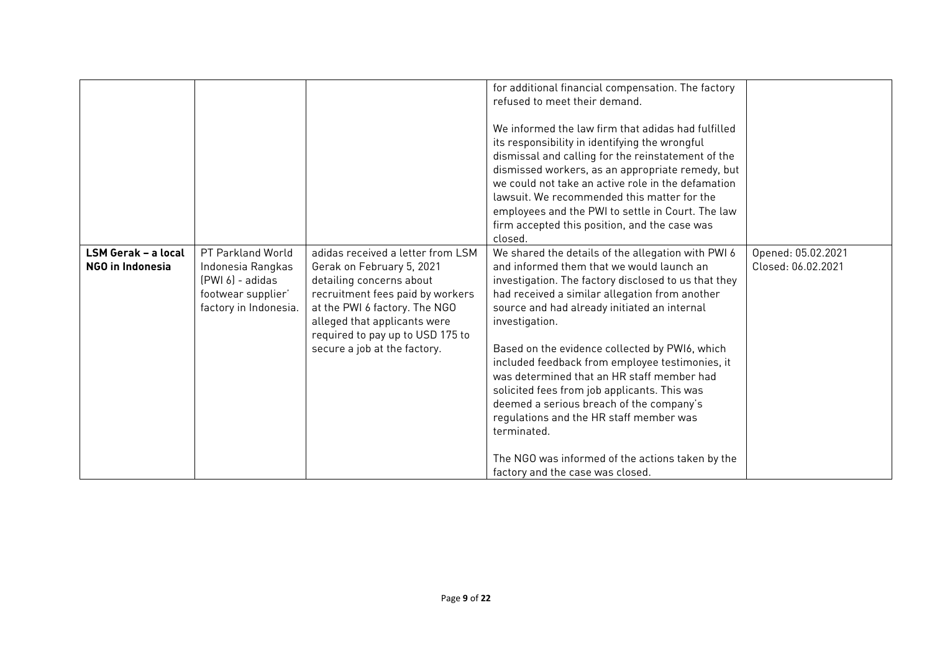|                                         |                                                                                                            |                                                                                                                                                                                                 | for additional financial compensation. The factory<br>refused to meet their demand.                                                                                                                                                                                                                   |                                          |
|-----------------------------------------|------------------------------------------------------------------------------------------------------------|-------------------------------------------------------------------------------------------------------------------------------------------------------------------------------------------------|-------------------------------------------------------------------------------------------------------------------------------------------------------------------------------------------------------------------------------------------------------------------------------------------------------|------------------------------------------|
|                                         |                                                                                                            |                                                                                                                                                                                                 | We informed the law firm that adidas had fulfilled<br>its responsibility in identifying the wrongful                                                                                                                                                                                                  |                                          |
|                                         |                                                                                                            |                                                                                                                                                                                                 | dismissal and calling for the reinstatement of the<br>dismissed workers, as an appropriate remedy, but                                                                                                                                                                                                |                                          |
|                                         |                                                                                                            |                                                                                                                                                                                                 | we could not take an active role in the defamation                                                                                                                                                                                                                                                    |                                          |
|                                         |                                                                                                            |                                                                                                                                                                                                 | lawsuit. We recommended this matter for the<br>employees and the PWI to settle in Court. The law                                                                                                                                                                                                      |                                          |
|                                         |                                                                                                            |                                                                                                                                                                                                 | firm accepted this position, and the case was                                                                                                                                                                                                                                                         |                                          |
|                                         |                                                                                                            |                                                                                                                                                                                                 | closed.                                                                                                                                                                                                                                                                                               |                                          |
| LSM Gerak - a local<br>NGO in Indonesia | PT Parkland World<br>Indonesia Rangkas<br>$(PWI 6) - addas$<br>footwear supplier'<br>factory in Indonesia. | adidas received a letter from LSM<br>Gerak on February 5, 2021<br>detailing concerns about<br>recruitment fees paid by workers<br>at the PWI 6 factory. The NGO<br>alleged that applicants were | We shared the details of the allegation with PWI 6<br>and informed them that we would launch an<br>investigation. The factory disclosed to us that they<br>had received a similar allegation from another<br>source and had already initiated an internal<br>investigation.                           | Opened: 05.02.2021<br>Closed: 06.02.2021 |
|                                         |                                                                                                            | required to pay up to USD 175 to<br>secure a job at the factory.                                                                                                                                | Based on the evidence collected by PWI6, which<br>included feedback from employee testimonies, it<br>was determined that an HR staff member had<br>solicited fees from job applicants. This was<br>deemed a serious breach of the company's<br>regulations and the HR staff member was<br>terminated. |                                          |
|                                         |                                                                                                            |                                                                                                                                                                                                 | The NGO was informed of the actions taken by the<br>factory and the case was closed.                                                                                                                                                                                                                  |                                          |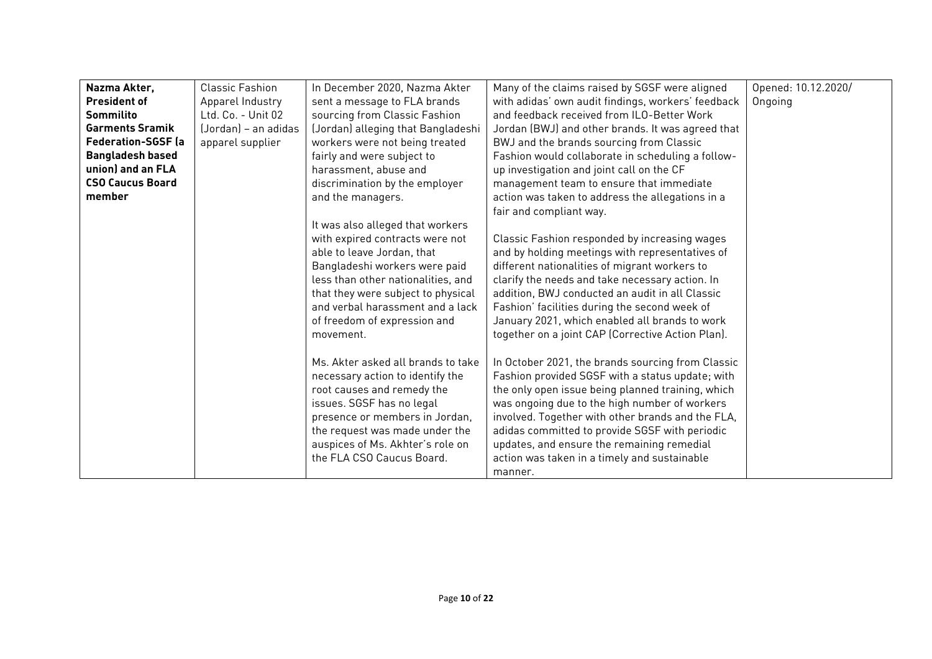| Nazma Akter,              | <b>Classic Fashion</b> | In December 2020, Nazma Akter      | Many of the claims raised by SGSF were aligned     | Opened: 10.12.2020/ |
|---------------------------|------------------------|------------------------------------|----------------------------------------------------|---------------------|
| <b>President of</b>       | Apparel Industry       | sent a message to FLA brands       | with adidas' own audit findings, workers' feedback | Ongoing             |
| Sommilito                 | Ltd. Co. - Unit 02     | sourcing from Classic Fashion      | and feedback received from ILO-Better Work         |                     |
| <b>Garments Sramik</b>    | (Jordan) – an adidas   | (Jordan) alleging that Bangladeshi | Jordan (BWJ) and other brands. It was agreed that  |                     |
| <b>Federation-SGSF</b> (a | apparel supplier       | workers were not being treated     | BWJ and the brands sourcing from Classic           |                     |
| <b>Bangladesh based</b>   |                        | fairly and were subject to         | Fashion would collaborate in scheduling a follow-  |                     |
| union) and an FLA         |                        | harassment, abuse and              | up investigation and joint call on the CF          |                     |
| <b>CSO Caucus Board</b>   |                        | discrimination by the employer     | management team to ensure that immediate           |                     |
| member                    |                        | and the managers.                  | action was taken to address the allegations in a   |                     |
|                           |                        |                                    | fair and compliant way.                            |                     |
|                           |                        | It was also alleged that workers   |                                                    |                     |
|                           |                        | with expired contracts were not    | Classic Fashion responded by increasing wages      |                     |
|                           |                        | able to leave Jordan, that         | and by holding meetings with representatives of    |                     |
|                           |                        | Bangladeshi workers were paid      | different nationalities of migrant workers to      |                     |
|                           |                        | less than other nationalities, and | clarify the needs and take necessary action. In    |                     |
|                           |                        | that they were subject to physical | addition, BWJ conducted an audit in all Classic    |                     |
|                           |                        | and verbal harassment and a lack   | Fashion' facilities during the second week of      |                     |
|                           |                        | of freedom of expression and       | January 2021, which enabled all brands to work     |                     |
|                           |                        | movement.                          | together on a joint CAP (Corrective Action Plan).  |                     |
|                           |                        |                                    |                                                    |                     |
|                           |                        | Ms. Akter asked all brands to take | In October 2021, the brands sourcing from Classic  |                     |
|                           |                        | necessary action to identify the   | Fashion provided SGSF with a status update; with   |                     |
|                           |                        | root causes and remedy the         | the only open issue being planned training, which  |                     |
|                           |                        | issues. SGSF has no legal          | was ongoing due to the high number of workers      |                     |
|                           |                        | presence or members in Jordan,     | involved. Together with other brands and the FLA,  |                     |
|                           |                        | the request was made under the     | adidas committed to provide SGSF with periodic     |                     |
|                           |                        | auspices of Ms. Akhter's role on   | updates, and ensure the remaining remedial         |                     |
|                           |                        | the FLA CSO Caucus Board.          | action was taken in a timely and sustainable       |                     |
|                           |                        |                                    | manner.                                            |                     |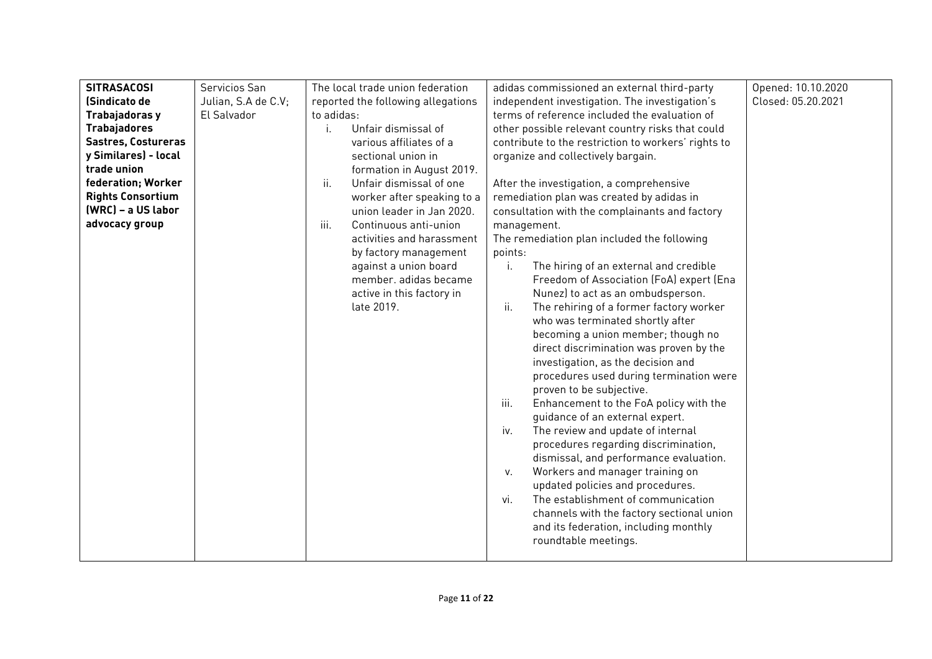| <b>SITRASACOSI</b>       | Servicios San       | The local trade union federation   | adidas commissioned an external third-party                   | Opened: 10.10.2020 |
|--------------------------|---------------------|------------------------------------|---------------------------------------------------------------|--------------------|
| (Sindicato de            | Julian, S.A de C.V; | reported the following allegations | independent investigation. The investigation's                | Closed: 05.20.2021 |
| Trabajadoras y           | El Salvador         | to adidas:                         | terms of reference included the evaluation of                 |                    |
| <b>Trabajadores</b>      |                     | Unfair dismissal of<br>Ť.          | other possible relevant country risks that could              |                    |
| Sastres, Costureras      |                     | various affiliates of a            | contribute to the restriction to workers' rights to           |                    |
| y Similares) - local     |                     | sectional union in                 | organize and collectively bargain.                            |                    |
| trade union              |                     | formation in August 2019.          |                                                               |                    |
| federation; Worker       |                     | ii.<br>Unfair dismissal of one     | After the investigation, a comprehensive                      |                    |
| <b>Rights Consortium</b> |                     | worker after speaking to a         | remediation plan was created by adidas in                     |                    |
| (WRC) - a US labor       |                     | union leader in Jan 2020.          | consultation with the complainants and factory                |                    |
| advocacy group           |                     | iii.<br>Continuous anti-union      | management.                                                   |                    |
|                          |                     | activities and harassment          | The remediation plan included the following                   |                    |
|                          |                     | by factory management              | points:                                                       |                    |
|                          |                     | against a union board              | The hiring of an external and credible<br>j.                  |                    |
|                          |                     | member, adidas became              | Freedom of Association (FoA) expert (Ena                      |                    |
|                          |                     | active in this factory in          | Nunez) to act as an ombudsperson.                             |                    |
|                          |                     | late 2019.                         | ii.<br>The rehiring of a former factory worker                |                    |
|                          |                     |                                    | who was terminated shortly after                              |                    |
|                          |                     |                                    | becoming a union member; though no                            |                    |
|                          |                     |                                    | direct discrimination was proven by the                       |                    |
|                          |                     |                                    | investigation, as the decision and                            |                    |
|                          |                     |                                    | procedures used during termination were                       |                    |
|                          |                     |                                    | proven to be subjective.                                      |                    |
|                          |                     |                                    | Enhancement to the FoA policy with the<br>iii.                |                    |
|                          |                     |                                    | guidance of an external expert.                               |                    |
|                          |                     |                                    | The review and update of internal<br>iv.                      |                    |
|                          |                     |                                    | procedures regarding discrimination,                          |                    |
|                          |                     |                                    | dismissal, and performance evaluation.                        |                    |
|                          |                     |                                    | Workers and manager training on<br>V.                         |                    |
|                          |                     |                                    | updated policies and procedures.                              |                    |
|                          |                     |                                    | The establishment of communication<br>vi.                     |                    |
|                          |                     |                                    | channels with the factory sectional union                     |                    |
|                          |                     |                                    | and its federation, including monthly<br>roundtable meetings. |                    |
|                          |                     |                                    |                                                               |                    |
|                          |                     |                                    |                                                               |                    |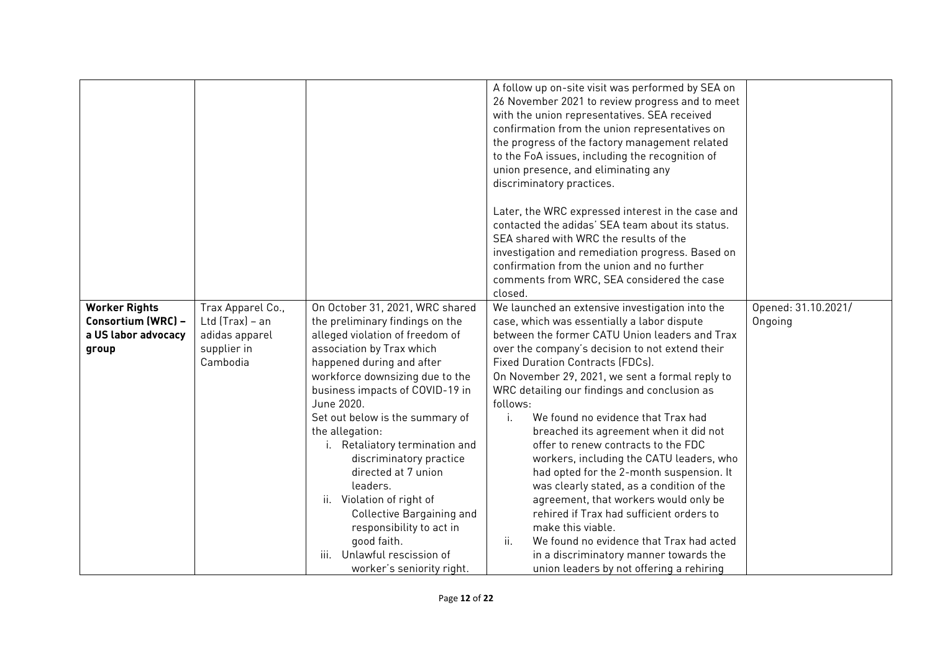|                                                                            |                                                                                     |                                                                                                                                                                                                                                                                                                                                                                                                                                        | A follow up on-site visit was performed by SEA on<br>26 November 2021 to review progress and to meet<br>with the union representatives. SEA received<br>confirmation from the union representatives on<br>the progress of the factory management related<br>to the FoA issues, including the recognition of<br>union presence, and eliminating any<br>discriminatory practices.<br>Later, the WRC expressed interest in the case and<br>contacted the adidas' SEA team about its status.<br>SEA shared with WRC the results of the<br>investigation and remediation progress. Based on<br>confirmation from the union and no further<br>comments from WRC, SEA considered the case<br>closed. |                                |
|----------------------------------------------------------------------------|-------------------------------------------------------------------------------------|----------------------------------------------------------------------------------------------------------------------------------------------------------------------------------------------------------------------------------------------------------------------------------------------------------------------------------------------------------------------------------------------------------------------------------------|-----------------------------------------------------------------------------------------------------------------------------------------------------------------------------------------------------------------------------------------------------------------------------------------------------------------------------------------------------------------------------------------------------------------------------------------------------------------------------------------------------------------------------------------------------------------------------------------------------------------------------------------------------------------------------------------------|--------------------------------|
| <b>Worker Rights</b><br>Consortium (WRC) -<br>a US labor advocacy<br>group | Trax Apparel Co.,<br>Ltd $(Trax) - an$<br>adidas apparel<br>supplier in<br>Cambodia | On October 31, 2021, WRC shared<br>the preliminary findings on the<br>alleged violation of freedom of<br>association by Trax which<br>happened during and after<br>workforce downsizing due to the<br>business impacts of COVID-19 in<br>June 2020.<br>Set out below is the summary of<br>the allegation:<br>i. Retaliatory termination and<br>discriminatory practice<br>directed at 7 union<br>leaders.<br>ii. Violation of right of | We launched an extensive investigation into the<br>case, which was essentially a labor dispute<br>between the former CATU Union leaders and Trax<br>over the company's decision to not extend their<br><b>Fixed Duration Contracts (FDCs).</b><br>On November 29, 2021, we sent a formal reply to<br>WRC detailing our findings and conclusion as<br>follows:<br>We found no evidence that Trax had<br>i.<br>breached its agreement when it did not<br>offer to renew contracts to the FDC<br>workers, including the CATU leaders, who<br>had opted for the 2-month suspension. It<br>was clearly stated, as a condition of the<br>agreement, that workers would only be                      | Opened: 31.10.2021/<br>Ongoing |
|                                                                            |                                                                                     | Collective Bargaining and<br>responsibility to act in<br>good faith.<br>Unlawful rescission of<br>iii.<br>worker's seniority right.                                                                                                                                                                                                                                                                                                    | rehired if Trax had sufficient orders to<br>make this viable.<br>ii.<br>We found no evidence that Trax had acted<br>in a discriminatory manner towards the<br>union leaders by not offering a rehiring                                                                                                                                                                                                                                                                                                                                                                                                                                                                                        |                                |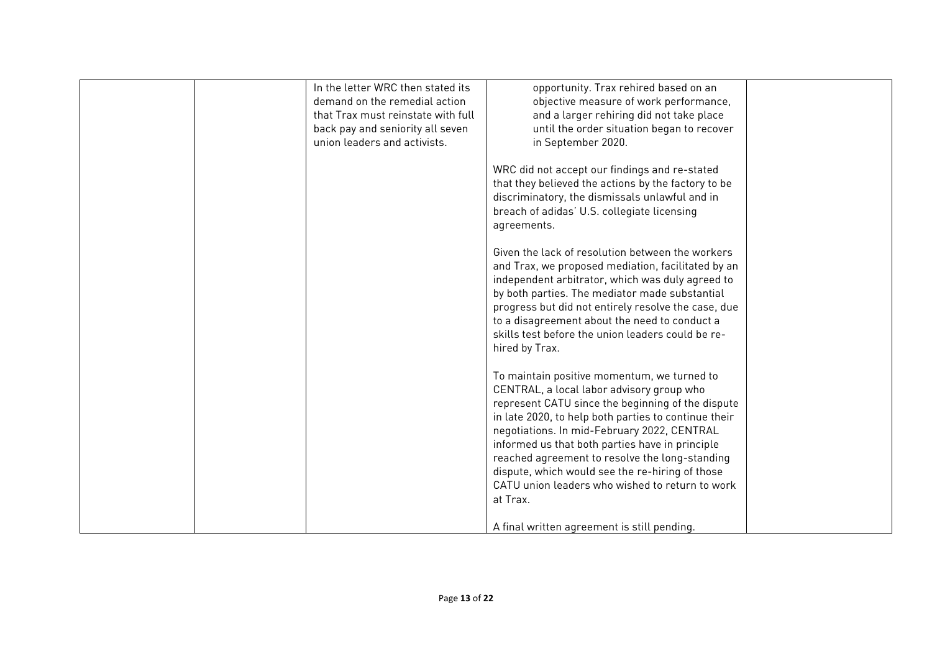| In the letter WRC then stated its<br>demand on the remedial action | opportunity. Trax rehired based on an<br>objective measure of work performance, |
|--------------------------------------------------------------------|---------------------------------------------------------------------------------|
| that Trax must reinstate with full                                 | and a larger rehiring did not take place                                        |
|                                                                    |                                                                                 |
| back pay and seniority all seven                                   | until the order situation began to recover                                      |
| union leaders and activists.                                       | in September 2020.                                                              |
|                                                                    |                                                                                 |
|                                                                    | WRC did not accept our findings and re-stated                                   |
|                                                                    | that they believed the actions by the factory to be                             |
|                                                                    | discriminatory, the dismissals unlawful and in                                  |
|                                                                    | breach of adidas' U.S. collegiate licensing                                     |
|                                                                    | agreements.                                                                     |
|                                                                    |                                                                                 |
|                                                                    |                                                                                 |
|                                                                    | Given the lack of resolution between the workers                                |
|                                                                    | and Trax, we proposed mediation, facilitated by an                              |
|                                                                    | independent arbitrator, which was duly agreed to                                |
|                                                                    | by both parties. The mediator made substantial                                  |
|                                                                    | progress but did not entirely resolve the case, due                             |
|                                                                    | to a disagreement about the need to conduct a                                   |
|                                                                    | skills test before the union leaders could be re-                               |
|                                                                    | hired by Trax.                                                                  |
|                                                                    |                                                                                 |
|                                                                    | To maintain positive momentum, we turned to                                     |
|                                                                    |                                                                                 |
|                                                                    | CENTRAL, a local labor advisory group who                                       |
|                                                                    | represent CATU since the beginning of the dispute                               |
|                                                                    | in late 2020, to help both parties to continue their                            |
|                                                                    | negotiations. In mid-February 2022, CENTRAL                                     |
|                                                                    | informed us that both parties have in principle                                 |
|                                                                    | reached agreement to resolve the long-standing                                  |
|                                                                    | dispute, which would see the re-hiring of those                                 |
|                                                                    | CATU union leaders who wished to return to work                                 |
|                                                                    | at Trax.                                                                        |
|                                                                    |                                                                                 |
|                                                                    |                                                                                 |
|                                                                    | A final written agreement is still pending.                                     |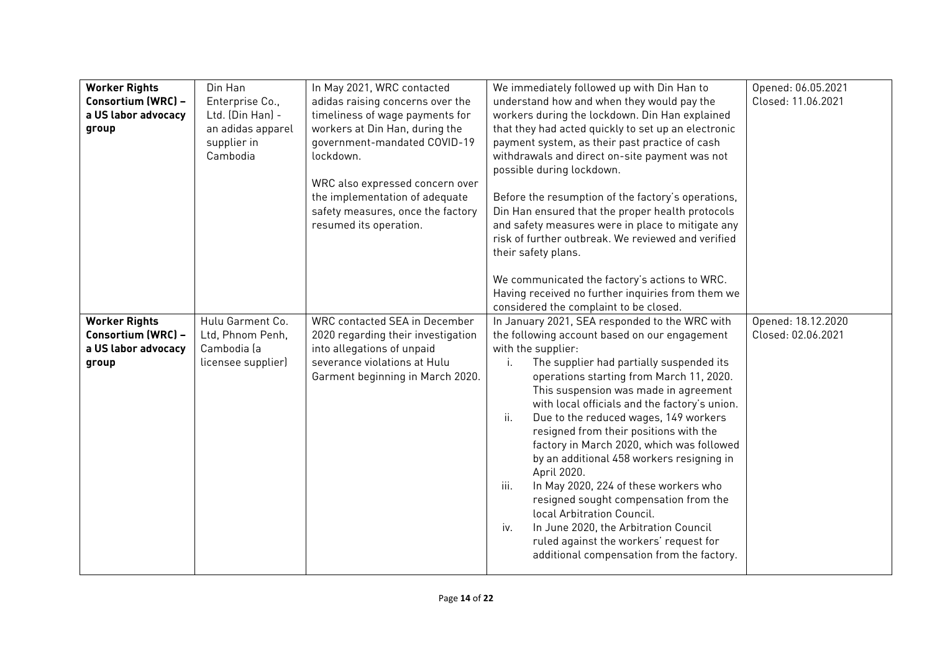| <b>Worker Rights</b> | Din Han            | In May 2021, WRC contacted           | We immediately followed up with Din Han to          | Opened: 06.05.2021 |
|----------------------|--------------------|--------------------------------------|-----------------------------------------------------|--------------------|
| Consortium (WRC) -   | Enterprise Co.,    | adidas raising concerns over the     | understand how and when they would pay the          | Closed: 11.06.2021 |
| a US labor advocacy  | Ltd. (Din Han) -   | timeliness of wage payments for      | workers during the lockdown. Din Han explained      |                    |
| group                | an adidas apparel  | workers at Din Han, during the       | that they had acted quickly to set up an electronic |                    |
|                      | supplier in        | government-mandated COVID-19         | payment system, as their past practice of cash      |                    |
|                      | Cambodia           | lockdown.                            | withdrawals and direct on-site payment was not      |                    |
|                      |                    |                                      | possible during lockdown.                           |                    |
|                      |                    | WRC also expressed concern over      |                                                     |                    |
|                      |                    | the implementation of adequate       | Before the resumption of the factory's operations,  |                    |
|                      |                    | safety measures, once the factory    | Din Han ensured that the proper health protocols    |                    |
|                      |                    | resumed its operation.               | and safety measures were in place to mitigate any   |                    |
|                      |                    |                                      | risk of further outbreak. We reviewed and verified  |                    |
|                      |                    |                                      | their safety plans.                                 |                    |
|                      |                    |                                      |                                                     |                    |
|                      |                    |                                      | We communicated the factory's actions to WRC.       |                    |
|                      |                    |                                      | Having received no further inquiries from them we   |                    |
|                      |                    |                                      | considered the complaint to be closed.              |                    |
| <b>Worker Rights</b> | Hulu Garment Co.   | <b>WRC contacted SEA in December</b> | In January 2021, SEA responded to the WRC with      | Opened: 18.12.2020 |
| Consortium (WRC) -   | Ltd, Phnom Penh,   | 2020 regarding their investigation   | the following account based on our engagement       | Closed: 02.06.2021 |
| a US labor advocacy  | Cambodia (a        | into allegations of unpaid           | with the supplier:                                  |                    |
| group                | licensee supplier) | severance violations at Hulu         | The supplier had partially suspended its<br>i.      |                    |
|                      |                    | Garment beginning in March 2020.     | operations starting from March 11, 2020.            |                    |
|                      |                    |                                      | This suspension was made in agreement               |                    |
|                      |                    |                                      | with local officials and the factory's union.       |                    |
|                      |                    |                                      | ii.<br>Due to the reduced wages, 149 workers        |                    |
|                      |                    |                                      | resigned from their positions with the              |                    |
|                      |                    |                                      | factory in March 2020, which was followed           |                    |
|                      |                    |                                      | by an additional 458 workers resigning in           |                    |
|                      |                    |                                      | April 2020.                                         |                    |
|                      |                    |                                      | iii.<br>In May 2020, 224 of these workers who       |                    |
|                      |                    |                                      | resigned sought compensation from the               |                    |
|                      |                    |                                      | local Arbitration Council.                          |                    |
|                      |                    |                                      | In June 2020, the Arbitration Council<br>iv.        |                    |
|                      |                    |                                      | ruled against the workers' request for              |                    |
|                      |                    |                                      | additional compensation from the factory.           |                    |
|                      |                    |                                      |                                                     |                    |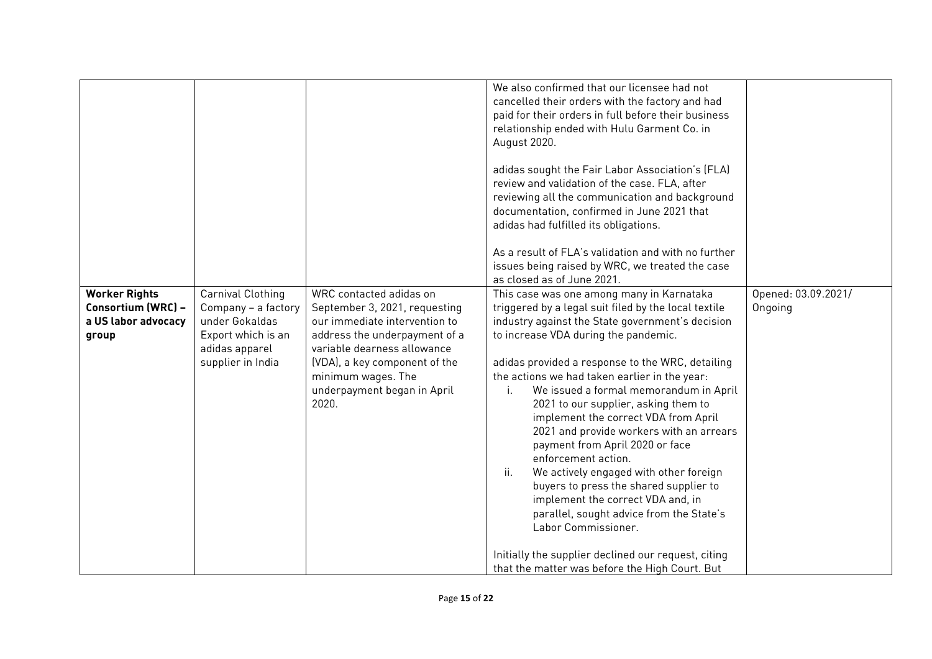|                                                                            |                                                                                                                         |                                                                                                                                                                                                                                                          | We also confirmed that our licensee had not<br>cancelled their orders with the factory and had<br>paid for their orders in full before their business<br>relationship ended with Hulu Garment Co. in<br>August 2020.<br>adidas sought the Fair Labor Association's (FLA)<br>review and validation of the case. FLA, after<br>reviewing all the communication and background<br>documentation, confirmed in June 2021 that<br>adidas had fulfilled its obligations.<br>As a result of FLA's validation and with no further<br>issues being raised by WRC, we treated the case<br>as closed as of June 2021.                                                                                                                                                                                                                                                             |                                |
|----------------------------------------------------------------------------|-------------------------------------------------------------------------------------------------------------------------|----------------------------------------------------------------------------------------------------------------------------------------------------------------------------------------------------------------------------------------------------------|------------------------------------------------------------------------------------------------------------------------------------------------------------------------------------------------------------------------------------------------------------------------------------------------------------------------------------------------------------------------------------------------------------------------------------------------------------------------------------------------------------------------------------------------------------------------------------------------------------------------------------------------------------------------------------------------------------------------------------------------------------------------------------------------------------------------------------------------------------------------|--------------------------------|
| <b>Worker Rights</b><br>Consortium (WRC) -<br>a US labor advocacy<br>group | Carnival Clothing<br>Company - a factory<br>under Gokaldas<br>Export which is an<br>adidas apparel<br>supplier in India | WRC contacted adidas on<br>September 3, 2021, requesting<br>our immediate intervention to<br>address the underpayment of a<br>variable dearness allowance<br>(VDA), a key component of the<br>minimum wages. The<br>underpayment began in April<br>2020. | This case was one among many in Karnataka<br>triggered by a legal suit filed by the local textile<br>industry against the State government's decision<br>to increase VDA during the pandemic.<br>adidas provided a response to the WRC, detailing<br>the actions we had taken earlier in the year:<br>We issued a formal memorandum in April<br>i.<br>2021 to our supplier, asking them to<br>implement the correct VDA from April<br>2021 and provide workers with an arrears<br>payment from April 2020 or face<br>enforcement action.<br>$\ddot{\mathbf{h}}$ .<br>We actively engaged with other foreign<br>buyers to press the shared supplier to<br>implement the correct VDA and, in<br>parallel, sought advice from the State's<br>Labor Commissioner.<br>Initially the supplier declined our request, citing<br>that the matter was before the High Court. But | Opened: 03.09.2021/<br>Ongoing |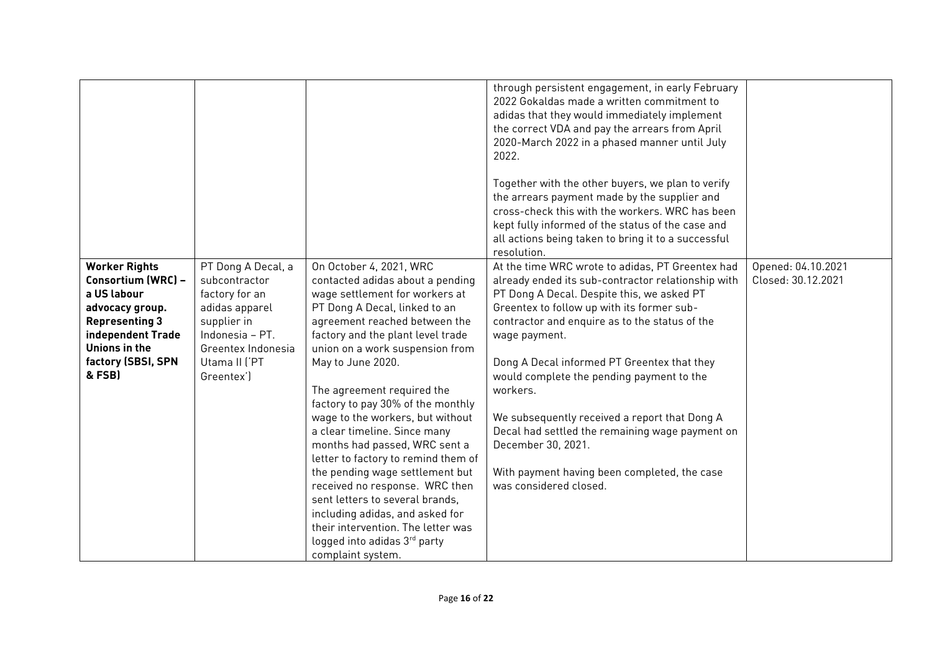|                                                                                                                                                                             |                                                                                                                                                                |                                                                                                                                                                                                                                                                                                                                                                                                                                                                                                                                                                                                                                                                                                                   | through persistent engagement, in early February<br>2022 Gokaldas made a written commitment to<br>adidas that they would immediately implement<br>the correct VDA and pay the arrears from April<br>2020-March 2022 in a phased manner until July<br>2022.<br>Together with the other buyers, we plan to verify<br>the arrears payment made by the supplier and<br>cross-check this with the workers. WRC has been<br>kept fully informed of the status of the case and<br>all actions being taken to bring it to a successful<br>resolution.                                     |                                          |
|-----------------------------------------------------------------------------------------------------------------------------------------------------------------------------|----------------------------------------------------------------------------------------------------------------------------------------------------------------|-------------------------------------------------------------------------------------------------------------------------------------------------------------------------------------------------------------------------------------------------------------------------------------------------------------------------------------------------------------------------------------------------------------------------------------------------------------------------------------------------------------------------------------------------------------------------------------------------------------------------------------------------------------------------------------------------------------------|-----------------------------------------------------------------------------------------------------------------------------------------------------------------------------------------------------------------------------------------------------------------------------------------------------------------------------------------------------------------------------------------------------------------------------------------------------------------------------------------------------------------------------------------------------------------------------------|------------------------------------------|
| <b>Worker Rights</b><br>Consortium (WRC) -<br>a US labour<br>advocacy group.<br><b>Representing 3</b><br>independent Trade<br>Unions in the<br>factory (SBSI, SPN<br>& FSB) | PT Dong A Decal, a<br>subcontractor<br>factory for an<br>adidas apparel<br>supplier in<br>Indonesia - PT.<br>Greentex Indonesia<br>Utama II ('PT<br>Greentex') | On October 4, 2021, WRC<br>contacted adidas about a pending<br>wage settlement for workers at<br>PT Dong A Decal, linked to an<br>agreement reached between the<br>factory and the plant level trade<br>union on a work suspension from<br>May to June 2020.<br>The agreement required the<br>factory to pay 30% of the monthly<br>wage to the workers, but without<br>a clear timeline. Since many<br>months had passed, WRC sent a<br>letter to factory to remind them of<br>the pending wage settlement but<br>received no response. WRC then<br>sent letters to several brands.<br>including adidas, and asked for<br>their intervention. The letter was<br>logged into adidas 3rd party<br>complaint system. | At the time WRC wrote to adidas, PT Greentex had<br>already ended its sub-contractor relationship with<br>PT Dong A Decal. Despite this, we asked PT<br>Greentex to follow up with its former sub-<br>contractor and enquire as to the status of the<br>wage payment.<br>Dong A Decal informed PT Greentex that they<br>would complete the pending payment to the<br>workers.<br>We subsequently received a report that Dong A<br>Decal had settled the remaining wage payment on<br>December 30, 2021.<br>With payment having been completed, the case<br>was considered closed. | Opened: 04.10.2021<br>Closed: 30.12.2021 |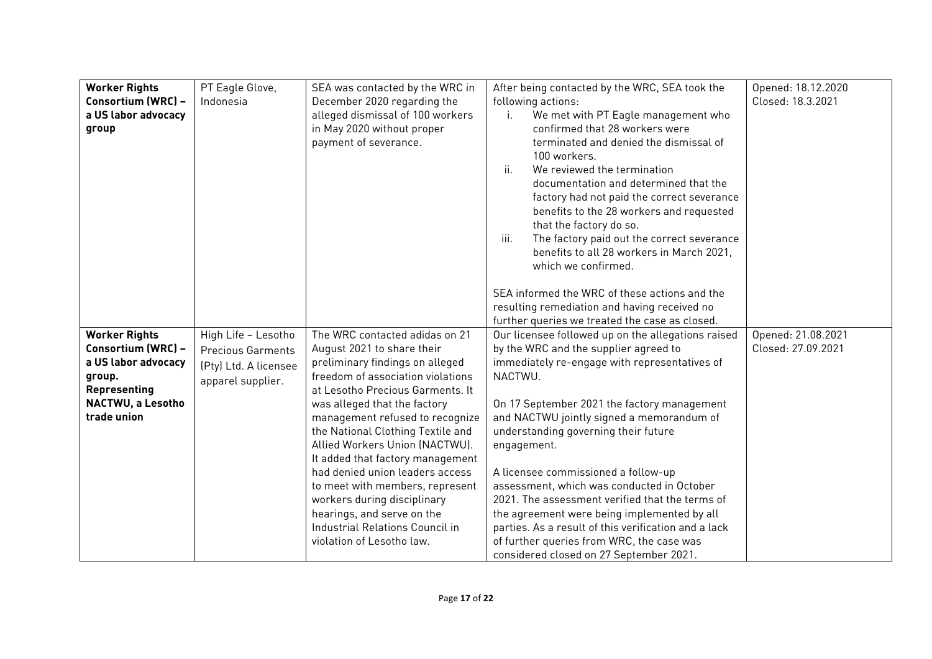| <b>Worker Rights</b><br>Consortium (WRC) -<br>a US labor advocacy<br>group | PT Eagle Glove,<br>Indonesia | SEA was contacted by the WRC in<br>December 2020 regarding the<br>alleged dismissal of 100 workers<br>in May 2020 without proper<br>payment of severance. | After being contacted by the WRC, SEA took the<br>following actions:<br>We met with PT Eagle management who<br>i.<br>confirmed that 28 workers were<br>terminated and denied the dismissal of<br>100 workers.<br>$\ddot{\mathbf{u}}$ .<br>We reviewed the termination<br>documentation and determined that the | Opened: 18.12.2020<br>Closed: 18.3.2021 |
|----------------------------------------------------------------------------|------------------------------|-----------------------------------------------------------------------------------------------------------------------------------------------------------|----------------------------------------------------------------------------------------------------------------------------------------------------------------------------------------------------------------------------------------------------------------------------------------------------------------|-----------------------------------------|
|                                                                            |                              |                                                                                                                                                           | factory had not paid the correct severance<br>benefits to the 28 workers and requested<br>that the factory do so.<br>iii.<br>The factory paid out the correct severance<br>benefits to all 28 workers in March 2021,<br>which we confirmed.                                                                    |                                         |
|                                                                            |                              |                                                                                                                                                           | SEA informed the WRC of these actions and the<br>resulting remediation and having received no                                                                                                                                                                                                                  |                                         |
|                                                                            |                              |                                                                                                                                                           | further queries we treated the case as closed.                                                                                                                                                                                                                                                                 |                                         |
| <b>Worker Rights</b>                                                       | High Life - Lesotho          | The WRC contacted adidas on 21                                                                                                                            | Our licensee followed up on the allegations raised                                                                                                                                                                                                                                                             | Opened: 21.08.2021                      |
| Consortium (WRC) -<br>a US labor advocacy                                  | <b>Precious Garments</b>     | August 2021 to share their<br>preliminary findings on alleged                                                                                             | by the WRC and the supplier agreed to<br>immediately re-engage with representatives of                                                                                                                                                                                                                         | Closed: 27.09.2021                      |
| group.                                                                     | (Pty) Ltd. A licensee        | freedom of association violations                                                                                                                         | NACTWU.                                                                                                                                                                                                                                                                                                        |                                         |
| Representing                                                               | apparel supplier.            | at Lesotho Precious Garments. It                                                                                                                          |                                                                                                                                                                                                                                                                                                                |                                         |
| NACTWU, a Lesotho                                                          |                              | was alleged that the factory                                                                                                                              | On 17 September 2021 the factory management                                                                                                                                                                                                                                                                    |                                         |
| trade union                                                                |                              | management refused to recognize                                                                                                                           | and NACTWU jointly signed a memorandum of                                                                                                                                                                                                                                                                      |                                         |
|                                                                            |                              | the National Clothing Textile and                                                                                                                         | understanding governing their future                                                                                                                                                                                                                                                                           |                                         |
|                                                                            |                              | Allied Workers Union (NACTWU).                                                                                                                            | engagement.                                                                                                                                                                                                                                                                                                    |                                         |
|                                                                            |                              | It added that factory management                                                                                                                          |                                                                                                                                                                                                                                                                                                                |                                         |
|                                                                            |                              | had denied union leaders access                                                                                                                           | A licensee commissioned a follow-up                                                                                                                                                                                                                                                                            |                                         |
|                                                                            |                              | to meet with members, represent<br>workers during disciplinary                                                                                            | assessment, which was conducted in October<br>2021. The assessment verified that the terms of                                                                                                                                                                                                                  |                                         |
|                                                                            |                              | hearings, and serve on the                                                                                                                                | the agreement were being implemented by all                                                                                                                                                                                                                                                                    |                                         |
|                                                                            |                              | Industrial Relations Council in                                                                                                                           | parties. As a result of this verification and a lack                                                                                                                                                                                                                                                           |                                         |
|                                                                            |                              | violation of Lesotho law.                                                                                                                                 | of further queries from WRC, the case was                                                                                                                                                                                                                                                                      |                                         |
|                                                                            |                              |                                                                                                                                                           | considered closed on 27 September 2021.                                                                                                                                                                                                                                                                        |                                         |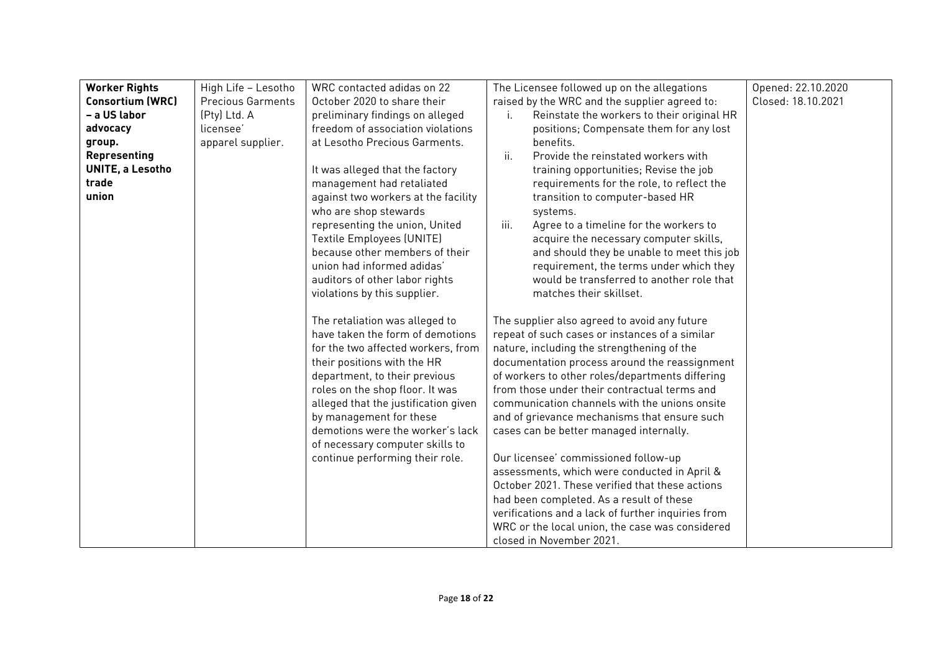| <b>Worker Rights</b>    | High Life - Lesotho      | WRC contacted adidas on 22                                              | The Licensee followed up on the allegations                                                     | Opened: 22.10.2020 |
|-------------------------|--------------------------|-------------------------------------------------------------------------|-------------------------------------------------------------------------------------------------|--------------------|
| <b>Consortium (WRC)</b> | <b>Precious Garments</b> | October 2020 to share their                                             | raised by the WRC and the supplier agreed to:                                                   | Closed: 18.10.2021 |
| - a US labor            | (Pty) Ltd. A             | preliminary findings on alleged                                         | Reinstate the workers to their original HR<br>Ť.                                                |                    |
| advocacy                | licensee'                | freedom of association violations                                       | positions; Compensate them for any lost                                                         |                    |
| group.                  | apparel supplier.        | at Lesotho Precious Garments.                                           | benefits.                                                                                       |                    |
| Representing            |                          |                                                                         | ii.<br>Provide the reinstated workers with                                                      |                    |
| UNITE, a Lesotho        |                          | It was alleged that the factory                                         | training opportunities; Revise the job                                                          |                    |
| trade                   |                          | management had retaliated                                               | requirements for the role, to reflect the                                                       |                    |
| union                   |                          | against two workers at the facility                                     | transition to computer-based HR                                                                 |                    |
|                         |                          | who are shop stewards                                                   | systems.                                                                                        |                    |
|                         |                          | representing the union, United                                          | iii.<br>Agree to a timeline for the workers to                                                  |                    |
|                         |                          | Textile Employees (UNITE)                                               | acquire the necessary computer skills,                                                          |                    |
|                         |                          | because other members of their                                          | and should they be unable to meet this job                                                      |                    |
|                         |                          | union had informed adidas'                                              | requirement, the terms under which they                                                         |                    |
|                         |                          | auditors of other labor rights                                          | would be transferred to another role that                                                       |                    |
|                         |                          | violations by this supplier.                                            | matches their skillset.                                                                         |                    |
|                         |                          |                                                                         |                                                                                                 |                    |
|                         |                          | The retaliation was alleged to                                          | The supplier also agreed to avoid any future                                                    |                    |
|                         |                          | have taken the form of demotions                                        | repeat of such cases or instances of a similar                                                  |                    |
|                         |                          | for the two affected workers, from                                      | nature, including the strengthening of the                                                      |                    |
|                         |                          | their positions with the HR                                             | documentation process around the reassignment                                                   |                    |
|                         |                          | department, to their previous                                           | of workers to other roles/departments differing<br>from those under their contractual terms and |                    |
|                         |                          | roles on the shop floor. It was<br>alleged that the justification given | communication channels with the unions onsite                                                   |                    |
|                         |                          | by management for these                                                 | and of grievance mechanisms that ensure such                                                    |                    |
|                         |                          | demotions were the worker's lack                                        | cases can be better managed internally.                                                         |                    |
|                         |                          | of necessary computer skills to                                         |                                                                                                 |                    |
|                         |                          | continue performing their role.                                         | Our licensee' commissioned follow-up                                                            |                    |
|                         |                          |                                                                         | assessments, which were conducted in April &                                                    |                    |
|                         |                          |                                                                         | October 2021. These verified that these actions                                                 |                    |
|                         |                          |                                                                         | had been completed. As a result of these                                                        |                    |
|                         |                          |                                                                         | verifications and a lack of further inquiries from                                              |                    |
|                         |                          |                                                                         | WRC or the local union, the case was considered                                                 |                    |
|                         |                          |                                                                         | closed in November 2021.                                                                        |                    |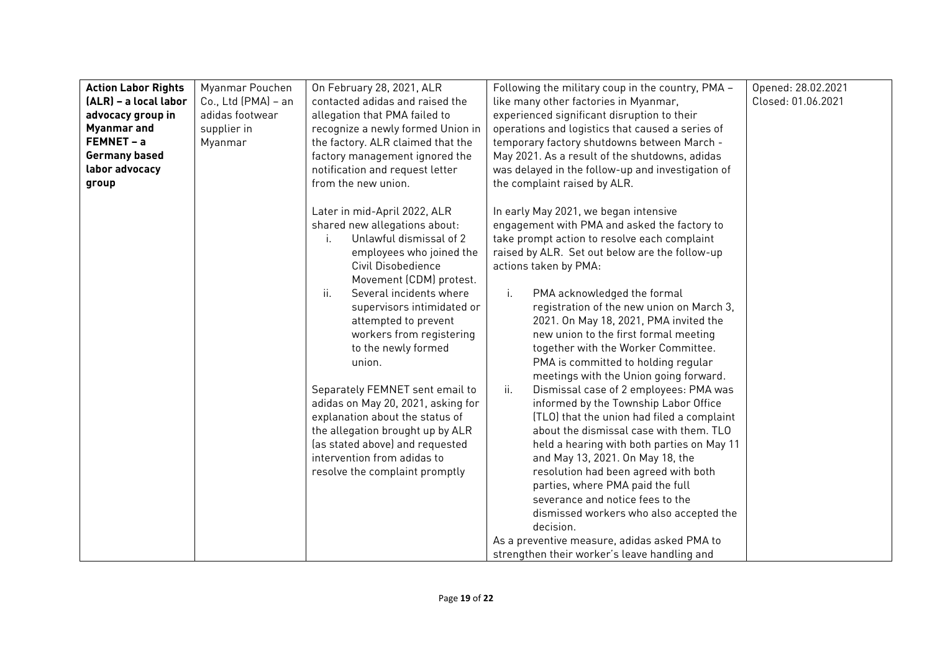| <b>Action Labor Rights</b><br>(ALR) - a local labor<br>advocacy group in<br><b>Myanmar</b> and<br>FEMNET - a<br><b>Germany based</b><br>labor advocacy<br>group | Myanmar Pouchen<br>Co., Ltd (PMA) - an<br>adidas footwear<br>supplier in<br>Myanmar | On February 28, 2021, ALR<br>contacted adidas and raised the<br>allegation that PMA failed to<br>recognize a newly formed Union in<br>the factory. ALR claimed that the<br>factory management ignored the<br>notification and request letter<br>from the new union.                                                                                                                                                                                                                                                                                                            | Following the military coup in the country, PMA -<br>like many other factories in Myanmar,<br>experienced significant disruption to their<br>operations and logistics that caused a series of<br>temporary factory shutdowns between March -<br>May 2021. As a result of the shutdowns, adidas<br>was delayed in the follow-up and investigation of<br>the complaint raised by ALR.                                                                                                                                                                                                                                                                                                                                                                                                                                                                                                                                                                                                                                                                        | Opened: 28.02.2021<br>Closed: 01.06.2021 |
|-----------------------------------------------------------------------------------------------------------------------------------------------------------------|-------------------------------------------------------------------------------------|--------------------------------------------------------------------------------------------------------------------------------------------------------------------------------------------------------------------------------------------------------------------------------------------------------------------------------------------------------------------------------------------------------------------------------------------------------------------------------------------------------------------------------------------------------------------------------|------------------------------------------------------------------------------------------------------------------------------------------------------------------------------------------------------------------------------------------------------------------------------------------------------------------------------------------------------------------------------------------------------------------------------------------------------------------------------------------------------------------------------------------------------------------------------------------------------------------------------------------------------------------------------------------------------------------------------------------------------------------------------------------------------------------------------------------------------------------------------------------------------------------------------------------------------------------------------------------------------------------------------------------------------------|------------------------------------------|
|                                                                                                                                                                 |                                                                                     | Later in mid-April 2022, ALR<br>shared new allegations about:<br>Unlawful dismissal of 2<br>employees who joined the<br>Civil Disobedience<br>Movement (CDM) protest.<br>ii.<br>Several incidents where<br>supervisors intimidated or<br>attempted to prevent<br>workers from registering<br>to the newly formed<br>union.<br>Separately FEMNET sent email to<br>adidas on May 20, 2021, asking for<br>explanation about the status of<br>the allegation brought up by ALR<br>(as stated above) and requested<br>intervention from adidas to<br>resolve the complaint promptly | In early May 2021, we began intensive<br>engagement with PMA and asked the factory to<br>take prompt action to resolve each complaint<br>raised by ALR. Set out below are the follow-up<br>actions taken by PMA:<br>i.<br>PMA acknowledged the formal<br>registration of the new union on March 3,<br>2021. On May 18, 2021, PMA invited the<br>new union to the first formal meeting<br>together with the Worker Committee.<br>PMA is committed to holding regular<br>meetings with the Union going forward.<br>ii.<br>Dismissal case of 2 employees: PMA was<br>informed by the Township Labor Office<br>(TLO) that the union had filed a complaint<br>about the dismissal case with them. TLO<br>held a hearing with both parties on May 11<br>and May 13, 2021. On May 18, the<br>resolution had been agreed with both<br>parties, where PMA paid the full<br>severance and notice fees to the<br>dismissed workers who also accepted the<br>decision.<br>As a preventive measure, adidas asked PMA to<br>strengthen their worker's leave handling and |                                          |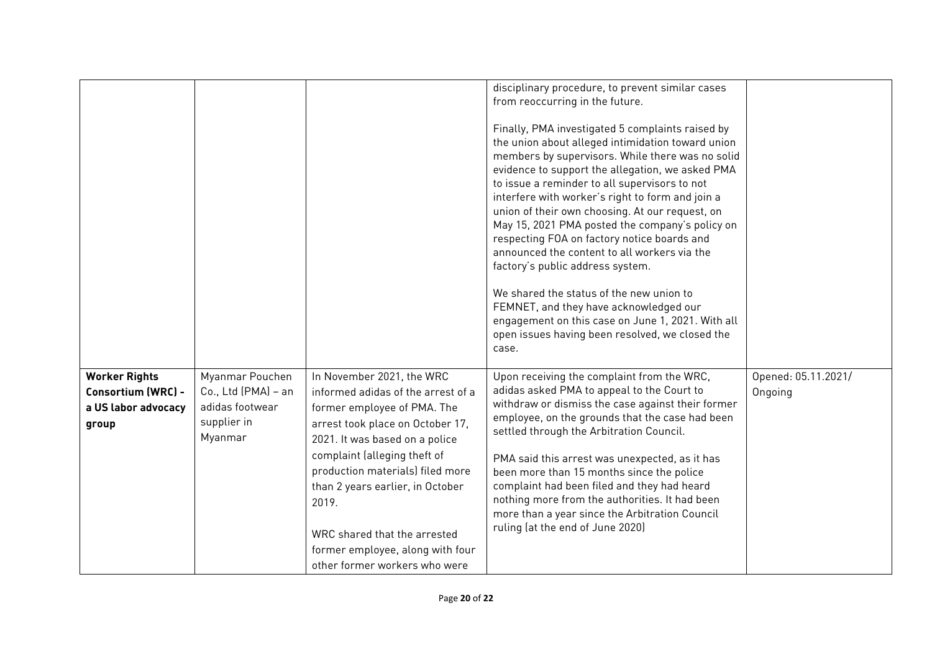|                                                                            |                                                                                     |                                                                                                                                                                                                                                                                                                                                                                                            | disciplinary procedure, to prevent similar cases<br>from reoccurring in the future.<br>Finally, PMA investigated 5 complaints raised by<br>the union about alleged intimidation toward union<br>members by supervisors. While there was no solid<br>evidence to support the allegation, we asked PMA<br>to issue a reminder to all supervisors to not<br>interfere with worker's right to form and join a<br>union of their own choosing. At our request, on<br>May 15, 2021 PMA posted the company's policy on<br>respecting FOA on factory notice boards and<br>announced the content to all workers via the<br>factory's public address system.<br>We shared the status of the new union to<br>FEMNET, and they have acknowledged our<br>engagement on this case on June 1, 2021. With all<br>open issues having been resolved, we closed the<br>case. |                                |
|----------------------------------------------------------------------------|-------------------------------------------------------------------------------------|--------------------------------------------------------------------------------------------------------------------------------------------------------------------------------------------------------------------------------------------------------------------------------------------------------------------------------------------------------------------------------------------|-----------------------------------------------------------------------------------------------------------------------------------------------------------------------------------------------------------------------------------------------------------------------------------------------------------------------------------------------------------------------------------------------------------------------------------------------------------------------------------------------------------------------------------------------------------------------------------------------------------------------------------------------------------------------------------------------------------------------------------------------------------------------------------------------------------------------------------------------------------|--------------------------------|
| <b>Worker Rights</b><br>Consortium (WRC) -<br>a US labor advocacy<br>group | Myanmar Pouchen<br>Co., Ltd (PMA) - an<br>adidas footwear<br>supplier in<br>Myanmar | In November 2021, the WRC<br>informed adidas of the arrest of a<br>former employee of PMA. The<br>arrest took place on October 17,<br>2021. It was based on a police<br>complaint (alleging theft of<br>production materials) filed more<br>than 2 years earlier, in October<br>2019.<br>WRC shared that the arrested<br>former employee, along with four<br>other former workers who were | Upon receiving the complaint from the WRC,<br>adidas asked PMA to appeal to the Court to<br>withdraw or dismiss the case against their former<br>employee, on the grounds that the case had been<br>settled through the Arbitration Council.<br>PMA said this arrest was unexpected, as it has<br>been more than 15 months since the police<br>complaint had been filed and they had heard<br>nothing more from the authorities. It had been<br>more than a year since the Arbitration Council<br>ruling (at the end of June 2020)                                                                                                                                                                                                                                                                                                                        | Opened: 05.11.2021/<br>Ongoing |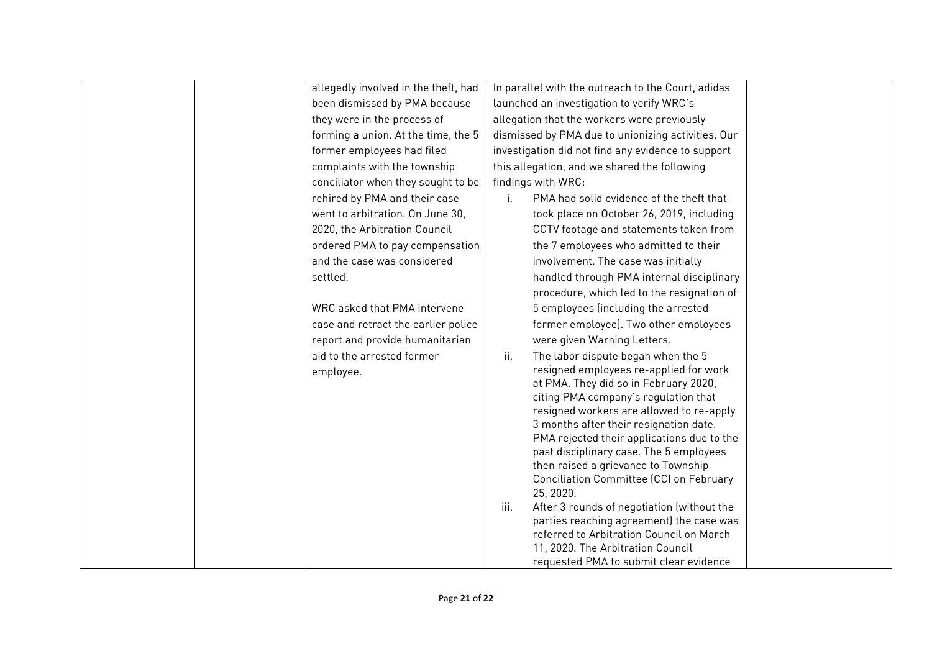| allegedly involved in the theft, had | In parallel with the outreach to the Court, adidas                                             |  |
|--------------------------------------|------------------------------------------------------------------------------------------------|--|
| been dismissed by PMA because        | launched an investigation to verify WRC's                                                      |  |
| they were in the process of          | allegation that the workers were previously                                                    |  |
| forming a union. At the time, the 5  | dismissed by PMA due to unionizing activities. Our                                             |  |
| former employees had filed           | investigation did not find any evidence to support                                             |  |
| complaints with the township         | this allegation, and we shared the following                                                   |  |
| conciliator when they sought to be   | findings with WRC:                                                                             |  |
| rehired by PMA and their case        | PMA had solid evidence of the theft that                                                       |  |
| went to arbitration. On June 30,     | took place on October 26, 2019, including                                                      |  |
| 2020, the Arbitration Council        | CCTV footage and statements taken from                                                         |  |
| ordered PMA to pay compensation      | the 7 employees who admitted to their                                                          |  |
| and the case was considered          | involvement. The case was initially                                                            |  |
| settled.                             | handled through PMA internal disciplinary                                                      |  |
|                                      | procedure, which led to the resignation of                                                     |  |
| WRC asked that PMA intervene         | 5 employees (including the arrested                                                            |  |
| case and retract the earlier police  | former employee). Two other employees                                                          |  |
| report and provide humanitarian      | were given Warning Letters.                                                                    |  |
| aid to the arrested former           | ii.<br>The labor dispute began when the 5                                                      |  |
| employee.                            | resigned employees re-applied for work                                                         |  |
|                                      | at PMA. They did so in February 2020,                                                          |  |
|                                      | citing PMA company's regulation that<br>resigned workers are allowed to re-apply               |  |
|                                      | 3 months after their resignation date.                                                         |  |
|                                      | PMA rejected their applications due to the                                                     |  |
|                                      | past disciplinary case. The 5 employees                                                        |  |
|                                      | then raised a grievance to Township                                                            |  |
|                                      | Conciliation Committee (CC) on February                                                        |  |
|                                      | 25, 2020.                                                                                      |  |
|                                      | After 3 rounds of negotiation (without the<br>iii.<br>parties reaching agreement) the case was |  |
|                                      | referred to Arbitration Council on March                                                       |  |
|                                      | 11, 2020. The Arbitration Council                                                              |  |
|                                      | requested PMA to submit clear evidence                                                         |  |